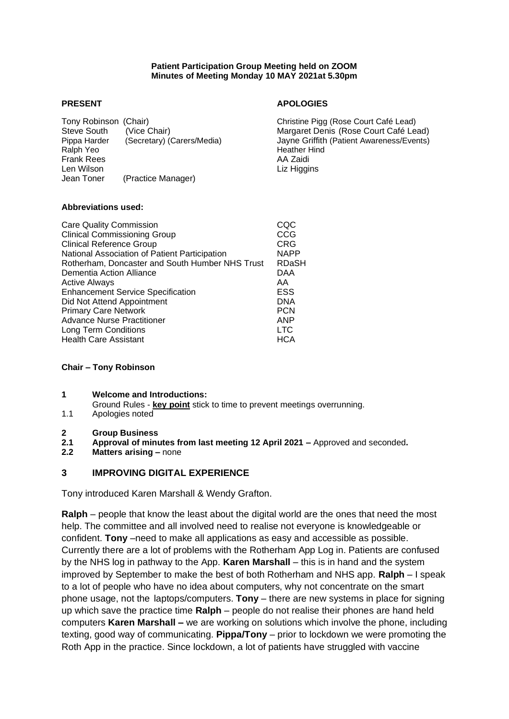#### **Patient Participation Group Meeting held on ZOOM Minutes of Meeting Monday 10 MAY 2021at 5.30pm**

Tony Robinson (Chair) Christine Pigg (Rose Court Café Lead) Steve South (Vice Chair) Margaret Denis (Rose Court Café Lead) Pippa Harder (Secretary) (Carers/Media) Jayne Griffith (Patient Awareness/Events) Frank Rees **AA Zaidi** AA Zaidi Len Wilson **Liz Higgins** Liz Higgins Jean Toner (Practice Manager)

### **PRESENT APOLOGIES**

Heather Hind

#### **Abbreviations used:**

| CQC         |
|-------------|
| CCG         |
| <b>CRG</b>  |
| <b>NAPP</b> |
| RDaSH       |
| DAA         |
| AA          |
| ESS         |
| <b>DNA</b>  |
| <b>PCN</b>  |
| ANP         |
| LTC.        |
| HCA         |
|             |

#### **Chair – Tony Robinson**

### **1 Welcome and Introductions:**

- Ground Rules **key point** stick to time to prevent meetings overrunning.
- 1.1 Apologies noted
- **2 Group Business**
- **2.1 Approval of minutes from last meeting 12 April 2021 –** Approved and seconded**.**
- **2.2 Matters arising –** none

### **3 IMPROVING DIGITAL EXPERIENCE**

Tony introduced Karen Marshall & Wendy Grafton.

**Ralph** – people that know the least about the digital world are the ones that need the most help. The committee and all involved need to realise not everyone is knowledgeable or confident. **Tony** –need to make all applications as easy and accessible as possible. Currently there are a lot of problems with the Rotherham App Log in. Patients are confused by the NHS log in pathway to the App. **Karen Marshall** – this is in hand and the system improved by September to make the best of both Rotherham and NHS app. **Ralph** – I speak to a lot of people who have no idea about computers, why not concentrate on the smart phone usage, not the laptops/computers. **Tony** – there are new systems in place for signing up which save the practice time **Ralph** – people do not realise their phones are hand held computers **Karen Marshall –** we are working on solutions which involve the phone, including texting, good way of communicating. **Pippa/Tony** – prior to lockdown we were promoting the Roth App in the practice. Since lockdown, a lot of patients have struggled with vaccine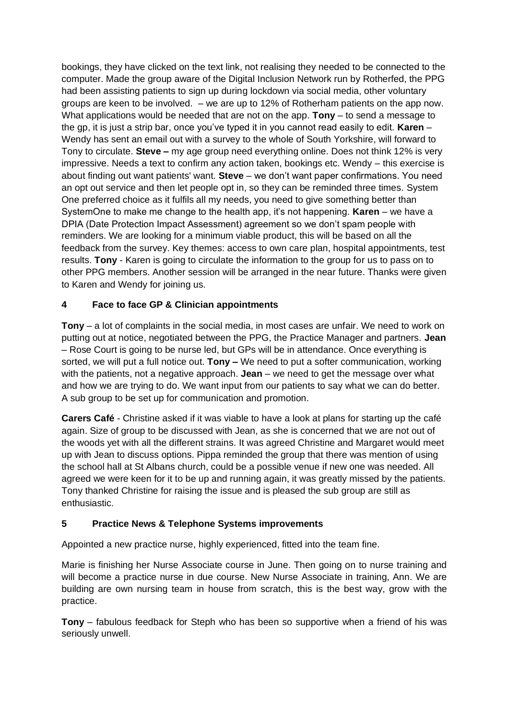bookings, they have clicked on the text link, not realising they needed to be connected to the computer. Made the group aware of the Digital Inclusion Network run by Rotherfed, the PPG had been assisting patients to sign up during lockdown via social media, other voluntary groups are keen to be involved. – we are up to 12% of Rotherham patients on the app now. What applications would be needed that are not on the app. **Tony** – to send a message to the gp, it is just a strip bar, once you've typed it in you cannot read easily to edit. **Karen** – Wendy has sent an email out with a survey to the whole of South Yorkshire, will forward to Tony to circulate. **Steve –** my age group need everything online. Does not think 12% is very impressive. Needs a text to confirm any action taken, bookings etc. Wendy – this exercise is about finding out want patients' want. **Steve** – we don't want paper confirmations. You need an opt out service and then let people opt in, so they can be reminded three times. System One preferred choice as it fulfils all my needs, you need to give something better than SystemOne to make me change to the health app, it's not happening. **Karen** – we have a DPIA (Date Protection Impact Assessment) agreement so we don't spam people with reminders. We are looking for a minimum viable product, this will be based on all the feedback from the survey. Key themes: access to own care plan, hospital appointments, test results. **Tony** - Karen is going to circulate the information to the group for us to pass on to other PPG members. Another session will be arranged in the near future. Thanks were given to Karen and Wendy for joining us.

# **4 Face to face GP & Clinician appointments**

**Tony** – a lot of complaints in the social media, in most cases are unfair. We need to work on putting out at notice, negotiated between the PPG, the Practice Manager and partners. **Jean** – Rose Court is going to be nurse led, but GPs will be in attendance. Once everything is sorted, we will put a full notice out. **Tony –** We need to put a softer communication, working with the patients, not a negative approach. **Jean** – we need to get the message over what and how we are trying to do. We want input from our patients to say what we can do better. A sub group to be set up for communication and promotion.

**Carers Café** - Christine asked if it was viable to have a look at plans for starting up the café again. Size of group to be discussed with Jean, as she is concerned that we are not out of the woods yet with all the different strains. It was agreed Christine and Margaret would meet up with Jean to discuss options. Pippa reminded the group that there was mention of using the school hall at St Albans church, could be a possible venue if new one was needed. All agreed we were keen for it to be up and running again, it was greatly missed by the patients. Tony thanked Christine for raising the issue and is pleased the sub group are still as enthusiastic.

## **5 Practice News & Telephone Systems improvements**

Appointed a new practice nurse, highly experienced, fitted into the team fine.

Marie is finishing her Nurse Associate course in June. Then going on to nurse training and will become a practice nurse in due course. New Nurse Associate in training, Ann. We are building are own nursing team in house from scratch, this is the best way, grow with the practice.

**Tony** – fabulous feedback for Steph who has been so supportive when a friend of his was seriously unwell.